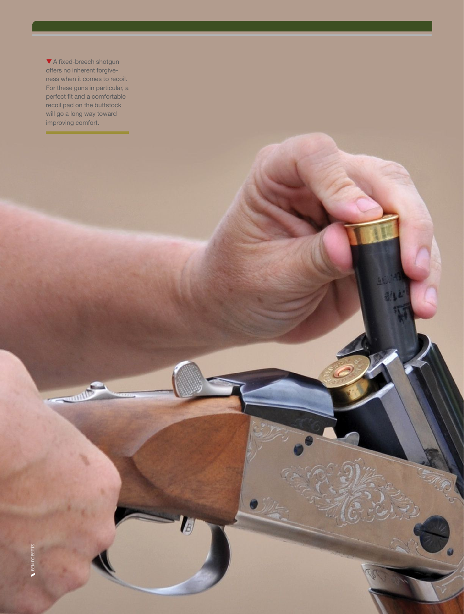▼ A fixed-breech shotgun offers no inherent forgiveness when it comes to recoil. For these guns in particular, a perfect fit and a comfortable recoil pad on the buttstock will go a long way toward improving comfort.

 $-m$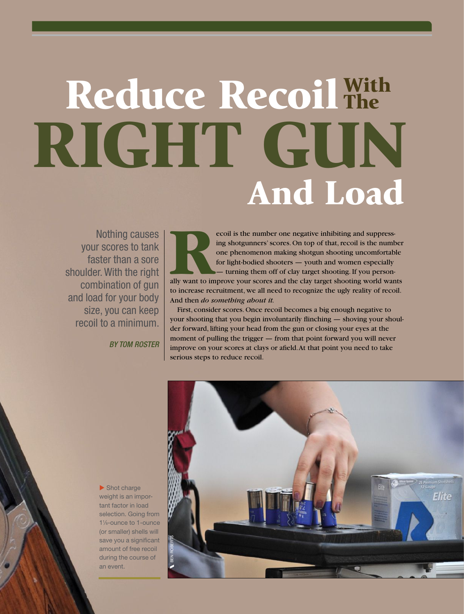## Reduce Recoil With RIGHT GUN And Load The

Nothing causes your scores to tank faster than a sore shoulder. With the right combination of gun and load for your body size, you can keep recoil to a minimum.

*BY TOM ROSTER* 

**Recoil is the number one negative inhibiting and suppressing shotgunners' scores. On top of that, recoil is the number one phenomenon making shotgun shooting uncomfortable for light-bodied shooters — youth and women espec** ing shotgunners' scores. On top of that, recoil is the number one phenomenon making shotgun shooting uncomfortable for light-bodied shooters — youth and women especially — turning them off of clay target shooting. If you personto increase recruitment, we all need to recognize the ugly reality of recoil. And then *do something about it.* 

First, consider scores. Once recoil becomes a big enough negative to your shooting that you begin involuntarily flinching — shoving your shoulder forward, lifting your head from the gun or closing your eyes at the moment of pulling the trigger — from that point forward you will never improve on your scores at clays or afield. At that point you need to take serious steps to reduce recoil.



 $\blacktriangleright$  Shot charge weight is an important factor in load selection. Going from 11 ⁄8-ounce to 1-ounce (or smaller) shells will save you a significant amount of free recoil during the course of an event.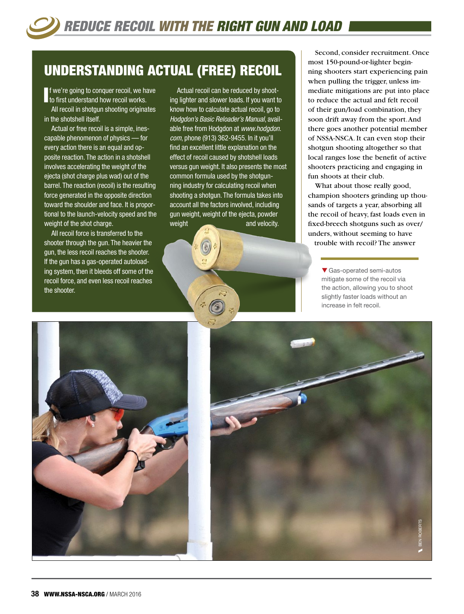## UNDERSTANDING ACTUAL (FREE) RECOIL

If we're going to conquer recoil, we had to first understand how recoil works. f we're going to conquer recoil, we have

All recoil in shotgun shooting originates in the shotshell itself.

Actual or free recoil is a simple, inescapable phenomenon of physics — for every action there is an equal and opposite reaction. The action in a shotshell involves accelerating the weight of the ejecta (shot charge plus wad) out of the barrel. The reaction (recoil) is the resulting force generated in the opposite direction toward the shoulder and face. It is proportional to the launch-velocity speed and the weight of the shot charge.

All recoil force is transferred to the shooter through the gun. The heavier the gun, the less recoil reaches the shooter. If the gun has a gas-operated autoloading system, then it bleeds off some of the recoil force, and even less recoil reaches the shooter.

Actual recoil can be reduced by shooting lighter and slower loads. If you want to know how to calculate actual recoil, go to *Hodgdon's Basic Reloader's Manual*, available free from Hodgdon at *[www.hodgdon.](http://www.hodgdon.com) [com](http://www.hodgdon.com)*, phone (913) 362-9455. In it you'll find an excellent little explanation on the effect of recoil caused by shotshell loads versus gun weight. It also presents the most common formula used by the shotgunning industry for calculating recoil when shooting a shotgun. The formula takes into account all the factors involved, including gun weight, weight of the ejecta, powder weight and velocity.

Second, consider recruitment. Once most 150-pound-or-lighter beginning shooters start experiencing pain when pulling the trigger, unless immediate mitigations are put into place to reduce the actual and felt recoil of their gun/load combination, they soon drift away from the sport. And there goes another potential member of NSSA-NSCA. It can even stop their shotgun shooting altogether so that local ranges lose the benefit of active shooters practicing and engaging in fun shoots at their club.

What about those really good, champion shooters grinding up thousands of targets a year, absorbing all the recoil of heavy, fast loads even in fixed-breech shotguns such as over/ unders, without seeming to have trouble with recoil? The answer

> $\blacktriangledown$  Gas-operated semi-autos mitigate some of the recoil via the action, allowing you to shoot slightly faster loads without an increase in felt recoil.



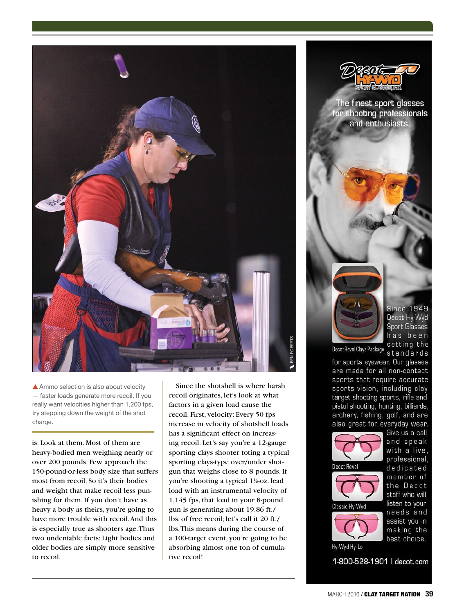

 $\triangle$  Ammo selection is also about velocity — faster loads generate more recoil. If you really want velocities higher than 1,200 fps, try stepping down the weight of the shot charge.

is: Look at them. Most of them are heavy-bodied men weighing nearly or over 200 pounds. Few approach the 150-pound-or-less body size that suffers most from recoil. So it's their bodies and weight that make recoil less punishing for them. If you don't have as heavy a body as theirs, you're going to have more trouble with recoil. And this is especially true as shooters age. Thus two undeniable facts: Light bodies and older bodies are simply more sensitive to recoil.

Since the shotshell is where harsh recoil originates, let's look at what factors in a given load cause the recoil. First, velocity: Every 50 fps increase in velocity of shotshell loads has a significant effect on increasing recoil. Let's say you're a 12-gauge sporting clays shooter toting a typical sporting clays-type over/under shotgun that weighs close to 8 pounds. If you're shooting a typical 1<sup>1</sup>%-oz. lead load with an instrumental velocity of 1,145 fps, that load in your 8-pound gun is generating about 19.86 ft./ lbs. of free recoil; let's call it 20 ft./ lbs. This means during the course of a 100-target event, you're going to be absorbing almost one ton of cumulative recoil!



The finest sport glasses for shooting professionals and enthusiasts.

> **Since 1949** Decot Hy-Wyd **Sport Glasses** has been setting the

Decot Revel Clays Package standards

for sports eyewear. Our glasses are made for all non-contact sports that require accurate sports vision, including clay target shooting sports, rifle and pistol shooting, hunting, billiards, archery, fishing, golf, and are also great for everyday wear.



with a live. professional, dedicated member of the Decot staff who will listen to your needs and assist you in making the best choice.

Give us a call and speak

Hy-Wyd Hy-Lo 1-800-528-1901 | decot.com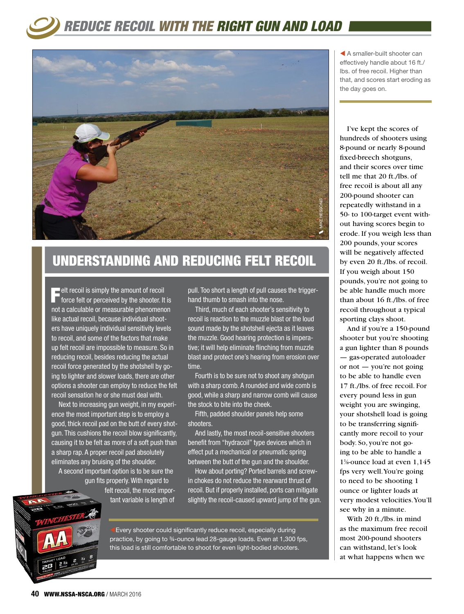## *REDUCE RECOIL WITH THE RIGHT GUN AND LOAD*



## UNDERSTANDING AND REDUCING FELT RECOIL

 $\blacksquare$  elt recoil is simply the amount of recoil  $\blacksquare$  force felt or perceived by the shooter. It is not a calculable or measurable phenomenon like actual recoil, because individual shooters have uniquely individual sensitivity levels to recoil, and some of the factors that make up felt recoil are impossible to measure. So in reducing recoil, besides reducing the actual recoil force generated by the shotshell by going to lighter and slower loads, there are other options a shooter can employ to reduce the felt recoil sensation he or she must deal with.

Next to increasing gun weight, in my experience the most important step is to employ a good, thick recoil pad on the butt of every shotgun. This cushions the recoil blow significantly, causing it to be felt as more of a soft push than a sharp rap. A proper recoil pad absolutely eliminates any bruising of the shoulder.

A second important option is to be sure the gun fits properly. With regard to felt recoil, the most important variable is length of

pull. Too short a length of pull causes the triggerhand thumb to smash into the nose.

Third, much of each shooter's sensitivity to recoil is reaction to the muzzle blast or the loud sound made by the shotshell ejecta as it leaves the muzzle. Good hearing protection is imperative; it will help eliminate flinching from muzzle blast and protect one's hearing from erosion over time.

Fourth is to be sure not to shoot any shotgun with a sharp comb. A rounded and wide comb is good, while a sharp and narrow comb will cause the stock to bite into the cheek.

Fifth, padded shoulder panels help some shooters.

And lastly, the most recoil-sensitive shooters benefit from "hydracoil" type devices which in effect put a mechanical or pneumatic spring between the butt of the gun and the shoulder.

How about porting? Ported barrels and screwin chokes do not reduce the rearward thrust of recoil. But if properly installed, ports can mitigate slightly the recoil-caused upward jump of the gun.



Every shooter could significantly reduce recoil, especially during practice, by going to ¾-ounce lead 28-gauge loads. Even at 1,300 fps, this load is still comfortable to shoot for even light-bodied shooters.

 $\blacktriangleleft$  A smaller-built shooter can effectively handle about 16 ft./ lbs. of free recoil. Higher than that, and scores start eroding as the day goes on.

I've kept the scores of hundreds of shooters using 8-pound or nearly 8-pound fixed-breech shotguns, and their scores over time tell me that 20 ft./lbs. of free recoil is about all any 200-pound shooter can repeatedly withstand in a 50- to 100-target event without having scores begin to erode. If you weigh less than 200 pounds, your scores will be negatively affected by even 20 ft./lbs. of recoil. If you weigh about 150 pounds, you're not going to be able handle much more than about 16 ft./lbs. of free recoil throughout a typical sporting clays shoot.

And if you're a 150-pound shooter but you're shooting a gun lighter than 8 pounds — gas-operated autoloader or not — you're not going to be able to handle even 17 ft./lbs. of free recoil. For every pound less in gun weight you are swinging, your shotshell load is going to be transferring significantly more recoil to your body. So, you're not going to be able to handle a 11 ⁄8-ounce load at even 1,145 fps very well. You're going to need to be shooting 1 ounce or lighter loads at very modest velocities. You'll see why in a minute.

With 20 ft./lbs. in mind as the maximum free recoil most 200-pound shooters can withstand, let's look at what happens when we